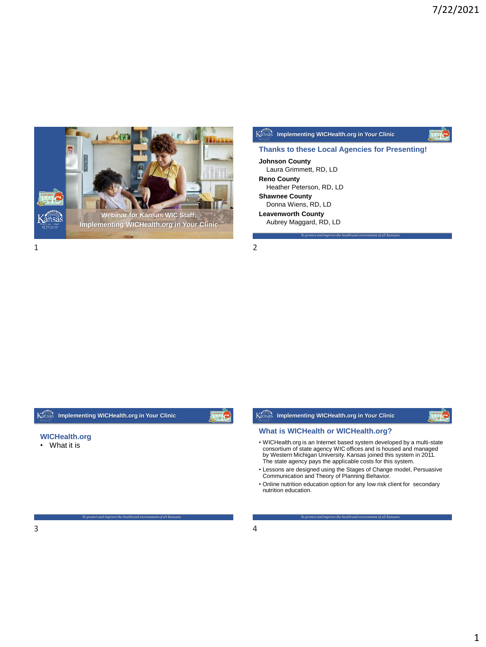

## **Johnson County** Laura Grimmett, RD, LD **Reno County** Heather Peterson, RD, LD **Thanks to these Local Agencies for Presenting!**

*To protect and improve the health and environment of all Kansans*

**Shawnee County**

Donna Wiens, RD, LD **Leavenworth County**

Aubrey Maggard, RD, LD

**Implementing WICHealth.org in Your Clinic**

*To protect and improve the health and environment of all Kansans*

#### **WICHealth.org**

• What it is

• WICHealth.org is an Internet based system developed by a multi-state consortium of state agency WIC offices and is housed and managed by Western Michigan University. Kansas joined this system in 2011. The state agency pays the applicable costs for this system. • Lessons are designed using the Stages of Change model, Persuasive Communication and Theory of Planning Behavior. • Online nutrition education option for any low risk client for secondary nutrition education. **What is WICHealth or WICHealth.org? Implementing WICHealth.org in Your Clinic**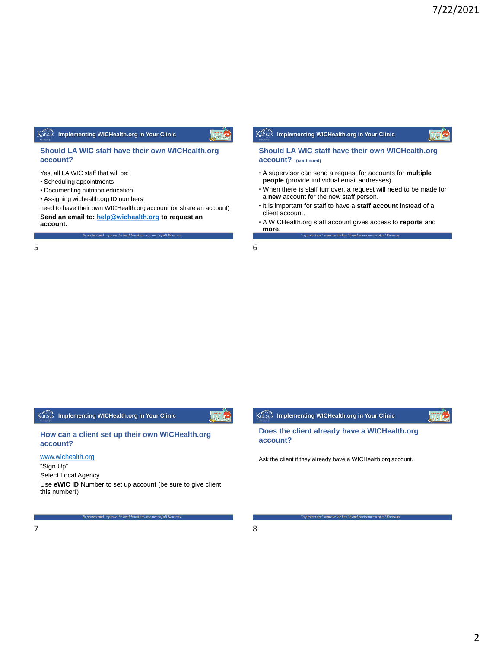#### **Should LA WIC staff have their own WICHealth.org account?**

Yes, all LA WIC staff that will be:

- Scheduling appointments
- Documenting nutrition education
- Assigning wichealth.org ID numbers

need to have their own WICHealth.org account (or share an account) **Send an email to: [help@wichealth.org](mailto:help@wichealth.org) to request an account.** 

*To protect and improve the health and environment of all Kansans*

 $5$  6

# **Implementing WICHealth.org in Your Clinic**

#### **Should LA WIC staff have their own WICHealth.org account? (continued)**

- A supervisor can send a request for accounts for **multiple people** (provide individual email addresses).
- When there is staff turnover, a request will need to be made for a **new** account for the new staff person.
- It is important for staff to have a **staff account** instead of a client account.
- *To protect and improve the health and environment of all Kansans* • A WICHealth.org staff account gives access to **reports** and **more**.

**Implementing WICHealth.org in Your Clinic**

**How can a client set up their own WICHealth.org account?**

[www.wichealth.org](http://www.wichealth.org/)

"Sign Up"

Select Local Agency

Use **eWIC ID** Number to set up account (be sure to give client this number!)

*To protect and improve the health and environment of all Kansans*



*To protect and improve the health and environment of all Kansans*

**account?**

Ask the client if they already have a WICHealth.org account.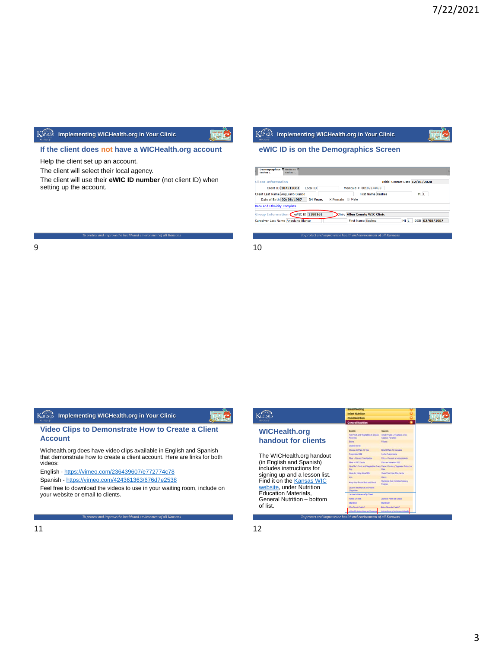## **If the client does not have a WICHealth.org account**

Help the client set up an account.

The client will select their local agency.

The client will use their **eWIC ID number** (not client ID) when setting up the account.

*To protect and improve the health and environment of all Kansans*

# **Implementing WICHealth.org in Your Clinic**

## **eWIC ID is on the Demographics Screen**

|               |                                | Initial Contact Date 12/01/2020 |  |      |
|---------------|--------------------------------|---------------------------------|--|------|
|               | Medicald $# 00102374433$       |                                 |  |      |
|               | First Name Keshea              |                                 |  | MI L |
| • Female Male |                                |                                 |  |      |
|               |                                |                                 |  |      |
|               |                                |                                 |  |      |
|               | Clinic Allen County WIC Clinic |                                 |  |      |
|               |                                |                                 |  |      |

*To protect and improve the health and environment of all Kansans*

 $9 \hspace{2.5cm} 10$ 

## **Implementing WICHealth.org in Your Clinic**

#### **Video Clips to Demonstrate How to Create a Client Account**

Wichealth.org does have video clips available in English and Spanish that demonstrate how to create a client account. Here are links for both videos:

English - <https://vimeo.com/236439607/e772774c78>

Spanish - <https://vimeo.com/424361363/676d7e2538>

Feel free to download the videos to use in your waiting room, include on your website or email to clients.

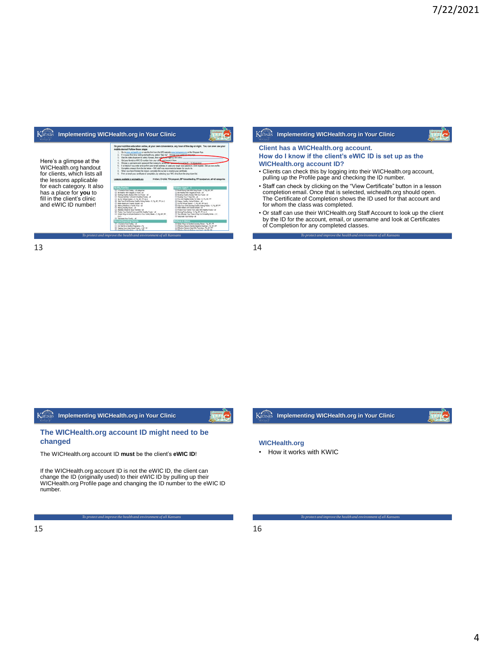

| Kansas | Implementing WICHealth.org in Your Clinic              |  |
|--------|--------------------------------------------------------|--|
|        | Client has a WICHealth.org account.                    |  |
|        | How do I know if the client's eWIC ID is set up as the |  |
|        | <b>WICHealth.org account ID?</b>                       |  |

- Clients can check this by logging into their WICHealth.org account, pulling up the Profile page and checking the ID number.
- Staff can check by clicking on the "View Certificate" button in a lesson completion email. Once that is selected, wichealth.org should open. The Certificate of Completion shows the ID used for that account and for whom the class was completed.
- *To protect and improve the health and environment of all Kansans* • Or staff can use their WICHealth.org Staff Account to look up the client by the ID for the account, email, or username and look at Certificates of Completion for any completed classes.

13 14

**Kansas** Implementing WICHealth.org in Your Clinic



The WICHealth.org account ID **must** be the client's **eWIC ID**!

If the WICHealth.org account ID is not the eWIC ID, the client can<br>change the ID (originally used) to their eWIC ID by pulling up their<br>WICHealth.org Profile page and changing the ID number to the eWIC ID number.

*To protect and improve the health and environment of all Kansans*



*To protect and improve the health and environment of all Kansans*

#### **WICHealth.org**

• How it works with KWIC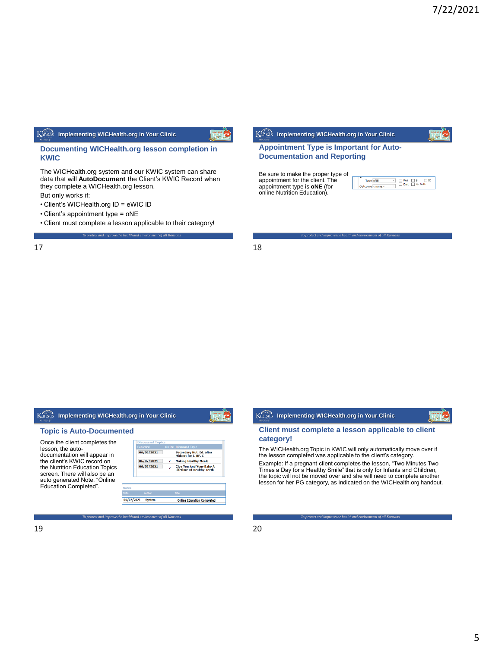#### **Documenting WICHealth.org lesson completion in KWIC**

The WICHealth.org system and our KWIC system can share data that will **AutoDocument** the Client's KWIC Record when they complete a WICHealth.org lesson.

But only works if:

- Client's WICHealth.org ID = eWIC ID
- Client's appointment type = oNE
- *To protect and improve the health and environment of all Kansans* • Client must complete a lesson applicable to their category!

 $17$  and  $18$ 



*To protect and improve the health and environment of all Kansans*

## **Appointment Type is Important for Auto-Documentation and Reporting**

Be sure to make the proper type of appointment for the client. The appointment type is **oNE** (for online Nutrition Education).





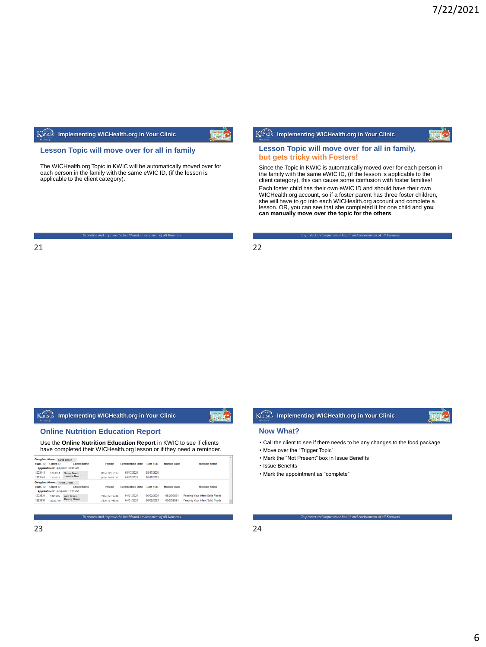#### **Lesson Topic will move over for all in family**

The WICHealth.org Topic in KWIC will be automatically moved over for each person in the family with the same eWIC ID, (if the lesson is applicable to the client category).

*To protect and improve the health and environment of all Kansans*

|  |  |  | sas Implementing WICHealth.org in Your Clinic |  |
|--|--|--|-----------------------------------------------|--|
|--|--|--|-----------------------------------------------|--|

#### **Lesson Topic will move over for all in family, but gets tricky with Fosters!**

Since the Topic in KWIC is automatically moved over for each person in the family with the same eWIC ID, (if the lesson is applicable to the client category), this can cause some confusion with foster families! Each foster child has their own eWIC ID and should have their own<br>WICHealth.org account, so if a foster parent has three foster children,<br>she will have to go into each WICHealth.org account and complete a lesson. OR, you can see that she completed it for one child and **you can manually move over the topic for the others**.

*To protect and improve the health and environment of all Kansans*

21 22

 $K_{a1}$ 

## **Implementing WICHealth.org in Your Clinic**

#### **Online Nutrition Education Report**

Use the **Online Nutrition Education Report** in KWIC to see if clients have completed their WICHealth.org lesson or if they need a reminder.

| <b>Client ID</b> | <b>Client Name</b> | Phone                                                                                                             | <b>Certification Date</b> | <b>Last FUD</b> | <b>Module Date</b> | Module Name                     |
|------------------|--------------------|-------------------------------------------------------------------------------------------------------------------|---------------------------|-----------------|--------------------|---------------------------------|
|                  |                    |                                                                                                                   |                           |                 |                    |                                 |
| 1223214          | Sunny Beach        | (816) 749-3137                                                                                                    | 03/17/2021                | 08/17/2021      |                    |                                 |
| 1223215          |                    | (816) 749-3137                                                                                                    | 03/17/2021                | 08/17/2021      |                    |                                 |
|                  |                    |                                                                                                                   |                           |                 |                    |                                 |
| <b>Client ID</b> | <b>Client Name</b> | Phone                                                                                                             | <b>Certification Date</b> | <b>Last FUD</b> | <b>Module Date</b> | Module Name                     |
|                  |                    |                                                                                                                   |                           |                 |                    |                                 |
| 1001996          | April Green        | (785) 727-3348                                                                                                    | 04/01/2021                | 06/02/2021      | 05/20/2021         | Feeding Your Infant Solid Foods |
| 12232716         | Destiny Green      | (785) 727-3348                                                                                                    | 04/01/2021                | 06/02/2021      | 05/20/2021         | Feeding Your Infant Solid Foods |
|                  |                    | Appointment: 6/9/2021 10:45 AM<br>Jasmine Reach<br>Caregiver Name: Forest Green<br>Appointment: 6/30/2021 1:15 PM |                           |                 |                    |                                 |

*To protect and improve the health and environment of all Kansans*

# **Kansas** Implementing WICHealth.org in Your Clinic

#### **Now What?**

• Call the client to see if there needs to be any changes to the food package

- Move over the "Trigger Topic"
- Mark the "Not Present" box in Issue Benefits
- Issue Benefits
- Mark the appointment as "complete"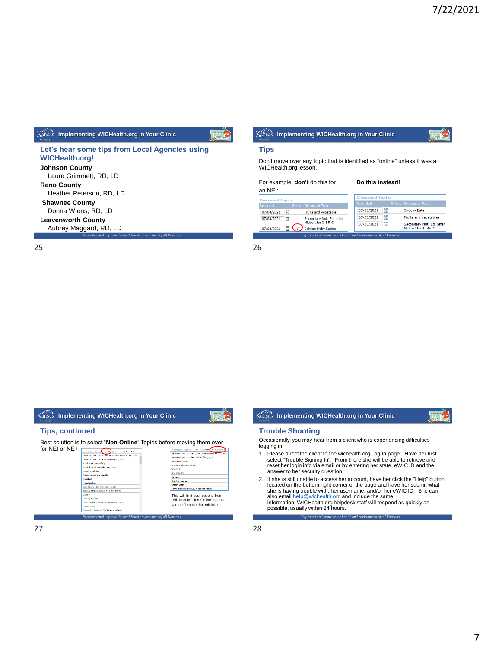**Let's hear some tips from Local Agencies using WICHealth.org! Johnson County** Laura Grimmett, RD, LD **Reno County** Heather Peterson, RD, LD **Shawnee County** Donna Wiens, RD, LD **Leavenworth County** Aubrey Maggard, RD, LD

*To protect and improve the health and environment of all Kansans*

25 26

#### **Implementing WICHealth.org in Your Clinic Tips, continued** Best solution is to select "**Non-Online**" Topics before moving them over<br>for NEI or NE<del>I</del> for NEI or NE+ **Table Topic CR All Coding C Number**<br>slav Nut, Isl. for PIL PP, or before Missert fr FR, or before Midt<br>frest for 1, N1, C iaide to Loud Safety<br>Theddy With Veggies And Louis scing cancers:<br>ads, grains and cereals: ting Calutios<br>By, grains and careals Breastfeading<br>Caldium<br>Cheking hazards id Strong Kids With Dairy Foods<br>Iding Healthy Bodies With Iron Foods een WIC hoods and healt This will limit your options from "All" to only "Non-Online" so that you can't make that mistake. hazards<br>Wilate To Build A Mealthier Fam ten WIC foods and h *To protect and improve the health and environment of all Kansans*

| Kansas Implementing WICHealth.org in Your Clinic |
|--------------------------------------------------|

#### **Trouble Shooting**

WICHealth.org lesson.

07/08/2021 5 V Solving Picky Eating

an NEI:

**Discussed Topic** 

 $07/08/2021$ 

07/08/2021

**Tips**

Occasionally, you may hear from a client who is experiencing difficulties logging in.

*To protect and improve the health and environment of all Kansans*

**Discussed Topic** 

07/08/2021 15

 $07/08/2021$ 

07/08/2021 15

d T

Fruits and vegetables

Secondary Nut. Ed. afte<br>Midcert for I, BF, C

**Choosy Eater** 

Don't move over any topic that is identified as "online" unless it was a

For example, **don't** do this for **Do this instead!** 

ssed Topic

Secondary Nut. Ed. after<br>Midcert for I, BF, C

Fruits and vegetables

**Implementing WICHealth.org in Your Clinic**

- 1. Please direct the client to the wichealth.org Log In page. Have her first select "Trouble Signing In". From there she will be able to retrieve and reset her login info via email or by entering her state, eWIC ID and the answer to her security question.
- 2. If she is still unable to access her account, have her click the "Help" button located on the bottom right corner of the page and have her submit what she is having trouble with, her username, and/or her eWIC ID. She can also email <u>[help@wichealth.org](mailto:help@wichealth.org) </u>and include the same<br>information. WICHealth.org helpdesk staff will respond as quickly as possible, usually within 24 hours.